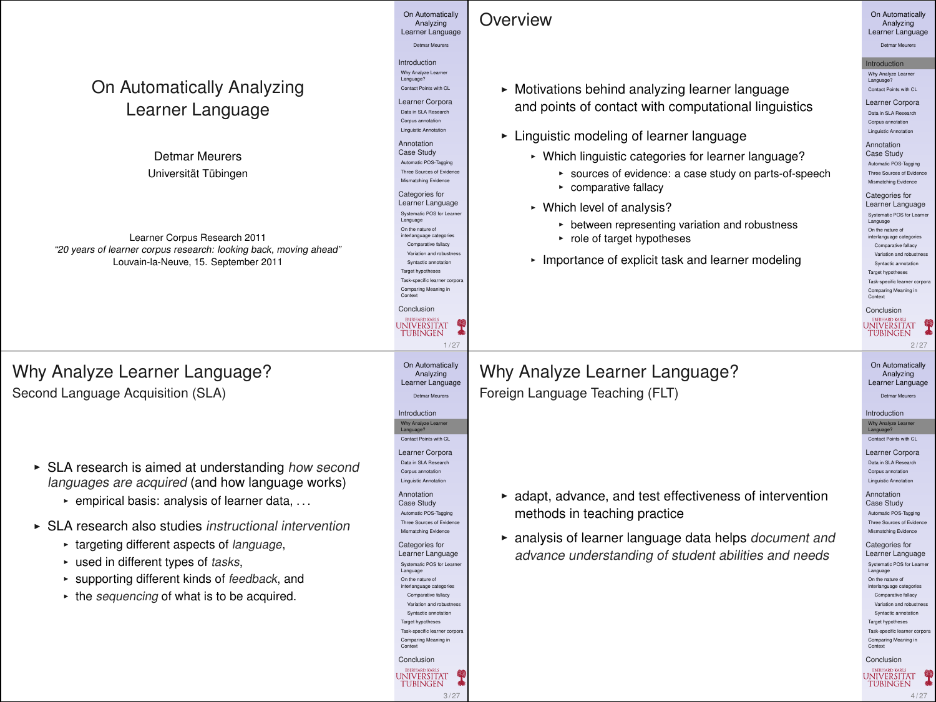#### On Automatically<br>Analyzing On Automatically<br>Analyzing **Overview** Analyzing Learner Language Analyzing Learner Language Detmar Meurers Detmar Meurers Introduction **Introduction Learner** Why Analyze Learner Language? Why Analyze Learner Language? On Automatically Analyzing  $\triangleright$  Motivations behind analyzing learner language Contact Points with CL Contact Points with CL Learner Corpora Learner Language and points of contact with computational linguistics Learner Corpora Data in SLA Research Data in SLA Research Corpus annotation Corpus annotation Linguistic Annotation  $\blacktriangleright$  Linguistic modeling of learner language Annotation<br>Case Study Annotation Case Study Detmar Meurers • Which linguistic categories for learner language? Case Study Automatic POS-Tagging Automatic POS-Tagging Universität Tübingen \* sources of evidence: a case study on parts-of-speech Three Sources of Evidence Mismatching Evidence Three Sources of Evidence Mismatching Evidence  $\sim$  comparative fallacy Categories for Categories for Learner Language Learner Language • Which level of analysis? Systematic POS for Learner Systematic POS for Learner Language **E** between representing variation and robustness Language<br>On the nature of On the nature of interlanguage categories On the nature of interlanguage categories Learner Corpus Research 2011  $\cdot$  role of target hypotheses Comparative fallacy Comparative fallacy "20 years of learner corpus research: looking back, moving ahead" Variation and robustness • Importance of explicit task and learner modeling Variation and robustness Louvain-la-Neuve, 15. September 2011 Syntactic annotation Syntactic annotation Target hypotheses Target hypotheses Task-specific learner corpora Task-specific learner corpora Comparing Meaning in Comparing Meaning in Context Context Conclusion Conclusion UNIVERSITAT **UNIVERSITAT TUBINGEN** 1 / 27 2 / 27 On Automatically On Automatically Why Analyze Learner Language? Why Analyze Learner Language? Analyzing Analyzing Learner Language Learner Language Second Language Acquisition (SLA) Foreign Language Teaching (FLT) Detmar Meurers Detmar Meurers Introduction Introduction Why Analyze Learner Why Analyze Learner Language? Contact Points with CL Language? Contact Points with CL Learner Corpora Learner Corpora Data in SLA Research Data in SLA Research ► SLA research is aimed at understanding how second Corpus annotation languages are acquired (and how language works) Linguistic Annotation Linguistic Annotation Annotation  $\triangleright$  adapt, advance, and test effectiveness of intervention Annotation  $\cdot$  empirical basis: analysis of learner data, ... Case Study Case Study methods in teaching practice Automatic POS-Tagging Automatic POS-Tagging Three Sources of Evidence Three Sources of Evidence  $\triangleright$  SLA research also studies instructional intervention Mismatching Evidence Mismatching Evidence  $\triangleright$  analysis of learner language data helps document and **Exercise 1** targeting different aspects of language. Categories for Categories for Learner Language advance understanding of student abilities and needs Learner Language  $\cdot$  used in different types of tasks, Systematic POS for Learner Systematic POS for Learn Language Language \* supporting different kinds of feedback, and On the nature of On the nature of interlanguage categories interlanguage categories  $\cdot$  the sequencing of what is to be acquired. Comparative fallacy Comparative fallacy Variation and robustness Variation and robustness Syntactic annotation Syntactic annotation Target hypotheses Target hypotheses Task-specific learner corpora Task-specific learner corpora Comparing Meaning in Context Comparing Meaning in Context Conclusion Conclusion

3 / 27

UNIVERSITAT **TUBINGEN** 

UNIVERSITAT 4 / 27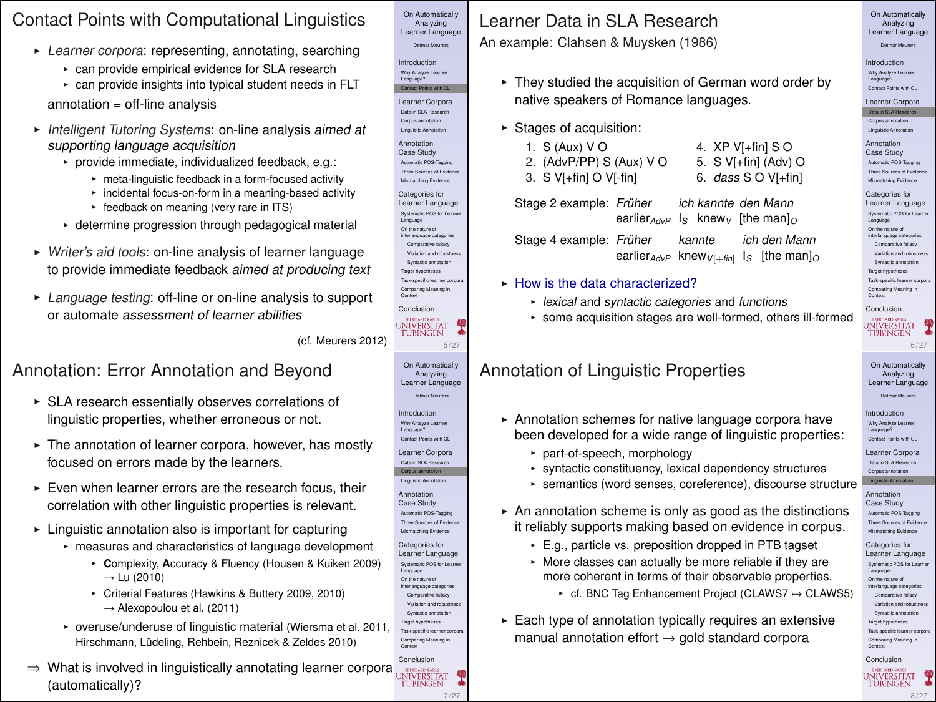#### Contact Points with Computational Linguistics

- $\blacktriangleright$  Learner corpora: representing, annotating, searching
	- **Exercise** empirical evidence for SLA research
	- can provide insights into typical student needs in FLT

annotation = off-line analysis

- **Intelligent Tutoring Systems: on-line analysis aimed at** supporting language acquisition
	- $\triangleright$  provide immediate, individualized feedback, e.g.:
		- meta-linguistic feedback in a form-focused activity
		- incidental focus-on-form in a meaning-based activity
		- feedback on meaning (very rare in ITS)
	- $\cdot$  determine progression through pedagogical material
- ► Writer's aid tools: on-line analysis of learner language to provide immediate feedback aimed at producing text
- **EXECUTE:** Language testing: off-line or on-line analysis to support or automate assessment of learner abilities

(cf. Meurers 2012)

Categori Learner<br>Satematic

Conclusio

**UNIVER** 

Contact Poi Learner Data in SLA Corpus an Linguistic A Annotati Case Stu Automatic P Three Sources Mismatching Categori Learner Systematic Language On the nature interlangua Compara Variation and robustness Syntactic Target hypo Task-specific learner corpora

7 / 27

#### Annotation: Error Annotation and Beyond

- $\triangleright$  SLA research essentially observes correlations of linguistic properties, whether erroneous or not.
- $\triangleright$  The annotation of learner corpora, however, has mostly focused on errors made by the learners.
- $\triangleright$  Even when learner errors are the research focus, their correlation with other linguistic properties is relevant.
- $\blacktriangleright$  Linguistic annotation also is important for capturing
	- measures and characteristics of language development
		- <sup>I</sup> **C**omplexity, **A**ccuracy & **F**luency (Housen & Kuiken 2009)  $\rightarrow$  Lu (2010)
		- \* Criterial Features (Hawkins & Buttery 2009, 2010) → Alexopoulou et al. (2011)
	- ► overuse/underuse of linguistic material (Wiersma et al. 2011, Hirschmann, Lüdeling, Rehbein, Reznicek & Zeldes 2010)
- Conclusi  $\Rightarrow$  What is involved in linguistically annotating learner corpora<br>(automatically)? (automatically)?

| An example: Clahsen & Muysken (1986)                                                                                                                                                                                                                                                                                                                                                                                                                                                                                                                                                                                                                                                                                                                               | Analyzing<br>Learner Language<br>Detmar Meurers                                                                                                                                                                                                                                                                                                                                                                                                                                                                                                                                                                                                 |
|--------------------------------------------------------------------------------------------------------------------------------------------------------------------------------------------------------------------------------------------------------------------------------------------------------------------------------------------------------------------------------------------------------------------------------------------------------------------------------------------------------------------------------------------------------------------------------------------------------------------------------------------------------------------------------------------------------------------------------------------------------------------|-------------------------------------------------------------------------------------------------------------------------------------------------------------------------------------------------------------------------------------------------------------------------------------------------------------------------------------------------------------------------------------------------------------------------------------------------------------------------------------------------------------------------------------------------------------------------------------------------------------------------------------------------|
| ► They studied the acquisition of German word order by<br>native speakers of Romance languages.<br>Stages of acquisition:<br>1. S (Aux) V O<br>4. $XP V[+fin] S O$<br>2. (AdvP/PP) S (Aux) V O<br>5. S V[+fin] (Adv) O                                                                                                                                                                                                                                                                                                                                                                                                                                                                                                                                             | Introduction<br>Why Analyze Learner<br>Language?<br>Contact Points with CL<br>Learner Corpora<br>Data in SLA Research<br>Corpus annotation<br>Linguistic Annotation<br>Annotation<br>Case Study<br>Automatic POS-Tagging<br>Three Sources of Evidence                                                                                                                                                                                                                                                                                                                                                                                           |
| Stage 2 example: Früher<br>ich kannte den Mann<br>$\lg$ knew <sub>v</sub> [the man] <sub>0</sub><br>earlier AdvP<br>ich den Mann<br>Stage 4 example: Früher<br>kannte<br>earlier $_{AdvP}$ knew $_{VI + finI}$ Is [the man] <sub>O</sub><br>$\blacktriangleright$ How is the data characterized?<br>- lexical and syntactic categories and functions<br>» some acquisition stages are well-formed, others ill-formed                                                                                                                                                                                                                                                                                                                                               | Manasching Evidence<br>Categories for<br>Learner Language<br>Systematic POS for Learner<br>Language<br>On the nature of<br>interlanguage categories<br>Comparative fallacy<br>Variation and robustness<br>Syntactic annotation<br><b>Target hypotheses</b><br>Task-specific learner corporal<br>Comparing Meaning in<br>Context<br>Conclusion<br>пинчатка<br><b>UNIVERSITAT</b><br><b>TUBINGEN</b><br>6/27                                                                                                                                                                                                                                      |
| Annotation of Linguistic Properties                                                                                                                                                                                                                                                                                                                                                                                                                                                                                                                                                                                                                                                                                                                                | On Automatically<br>Analyzing<br>Learner Language<br>Datmar Mauners                                                                                                                                                                                                                                                                                                                                                                                                                                                                                                                                                                             |
| Annotation schemes for native language corpora have<br>been developed for a wide range of linguistic properties:<br>• part-of-speech, morphology<br>► syntactic constituency, lexical dependency structures<br>► semantics (word senses, coreference), discourse structure<br>An annotation scheme is only as good as the distinctions<br>it reliably supports making based on evidence in corpus.<br>E.g., particle vs. preposition dropped in PTB tagset<br>• More classes can actually be more reliable if they are<br>more coherent in terms of their observable properties.<br>► cf. BNC Tag Enhancement Project (CLAWS7 ↔ CLAWS5)<br>Each type of annotation typically requires an extensive<br>manual annotation effort $\rightarrow$ gold standard corpora | Introduction<br>Why Analyze Learner<br>Language?<br>Contact Points with CL<br>Learner Corpora<br>Date in St & Genearth<br>Corpus annotation<br>Linguistic Annotation<br>Annotation<br>Case Study<br>Automatic POS-Tegoing<br>Three Sources of Evidence<br>Manasching Evidence<br>Categories for<br>Learner Language<br>Systematic POS for Learner<br>Language<br>On the nature of<br>interlanguage categories<br>Comparative fallacy<br>Variation and robustness<br>Syntactic annotation<br><b>Target hypotheses</b><br>Task-specific learner corporal<br>Comparing Meaning in<br>Conclusion<br><b>EMERGATO VADE</b><br>φ<br><b>UNIVERSITAT</b> |
|                                                                                                                                                                                                                                                                                                                                                                                                                                                                                                                                                                                                                                                                                                                                                                    | 3. S V[+fin] O V[-fin]<br>6. dass $SO VI+fin$ ]                                                                                                                                                                                                                                                                                                                                                                                                                                                                                                                                                                                                 |

8 / 27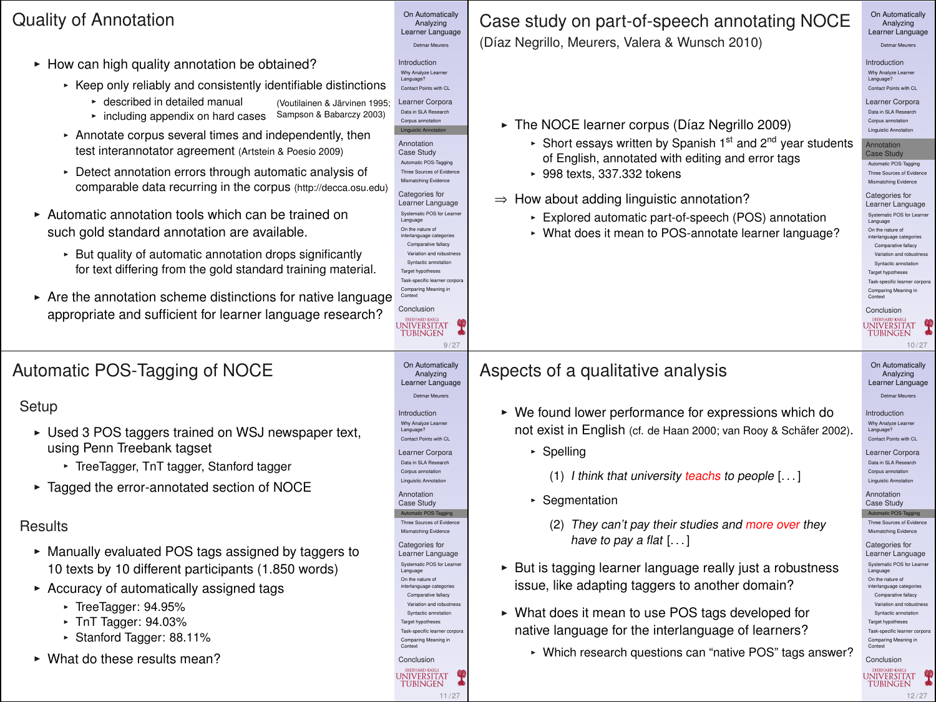### Quality of Annotation

- $\blacktriangleright$  How can high quality annotation be obtained?
	- $\cdot$  Keep only reliably and consistently identifiable distinctions
		- described in detailed manual (Voutilainen & Järvinen 1995)
		- **F** including appendix on hard cases Sampson & Babarczy 2003)
	- **Annotate corpus several times and independently, then** test interannotator agreement (Artstein & Poesio 2009)
	- **Detect annotation errors through automatic analysis of** comparable data recurring in the corpus (http://decca.osu.edu)
- $\triangleright$  Automatic annotation tools which can be trained on such gold standard annotation are available.
	- **But quality of automatic annotation drops significantly** for text differing from the gold standard training material.
- $\triangleright$  Are the annotation scheme distinctions for native language appropriate and sufficient for learner language research?

## Automatic POS-Tagging of NOCE

#### Setup

- $\triangleright$  Used 3 POS taggers trained on WSJ newspaper text, using Penn Treebank tagset
	- **F** TreeTagger, TnT tagger, Stanford tagger
- $\blacktriangleright$  Tagged the error-annotated section of NOCE

#### **Results**

- $\triangleright$  Manually evaluated POS tags assigned by taggers to 10 texts by 10 different participants (1.850 words)
- $\triangleright$  Accuracy of automatically assigned tags
	- $\cdot$  TreeTagger: 94.95%
	- $\cdot$  TnT Tagger: 94.03%
	- ► Stanford Tagger: 88.11%
- $\triangleright$  What do these results mean?

Conclusion **JNIVERSITAT TUBINGEN** 9 / 27 On Automatically Analyzing Learner Language Detmar Meurers Introduction Why Analyze Learner Language? Contact Points with CL Learner Corpora Data in SLA Research Linguistic Annotation Annotation Case Study Automatic POS-Tagging Three Sources of Evidence Mismatching Evidence Categories for Learner Language Systematic POS for Language On the nature of interlanguage categories Comparative fallacy Variation and robustness Syntactic annotation Target hypotheses Task-specific learner corpora Comparing Meaning in Context Conclusion UNIVERSITAT **TUBINGEN** 

11/27

On Automatically<br>Analyzing Analyzing Learner Language Detmar Meurers Introduction Why Analyze Learner Language? Contact Points with CL Learner Corpora Data in SLA Research Linguistic Annotation Annotation Case Study Automatic POS-Tagging Three Sources of Evidence Mismatching Evidence Categories for Learner Language Systematic POS for Learner Language On the nature of interlanguage categories Comparative fallacy Variation and robustness Syntactic annotation Target hypotheses Task-specific learner corpora Comparing Meaning in Context<sub>1</sub>

Case study on part-of-speech annotating NOCE (Díaz Negrillo, Meurers, Valera & Wunsch 2010)

On Automatically<br>Analyzing Analyzing Learner Language

Introduction Why Analyze Learner Contact Points with CL

Language?

Learner Corpora Data in SLA Research Corpus annotation Linguistic Annotation Annotation Case Study<br>Adverts 805 Trailer Three Sources of European Three Sources of Evidence Mismatching Evidence Categories for Learner Language Systematic POS for Learn Language<br>On the nature of On the nature of interlanguage categories Comparative fallacy Variation and robustness Syntactic annotation Target hypotheses Task-specific learner corpo Comparing Meaning in Context Conclusion

- $\triangleright$  The NOCE learner corpus (Díaz Negrillo 2009)
	- $\cdot$  Short essays written by Spanish 1<sup>st</sup> and 2<sup>nd</sup> year students of English, annotated with editing and error tags
	- $\cdot$  998 texts, 337,332 tokens

⇒ How about adding linguistic annotation?

- **Explored automatic part-of-speech (POS) annotation**
- What does it mean to POS-annotate learner language?

#### Aspects of a qualitative analysis

- $\triangleright$  We found lower performance for expressions which do not exist in English (cf. de Haan 2000; van Rooy & Schäfer 2002).
	- $\cdot$  Spelling
		- (1) I think that university teachs to people [. . . ]
	- **Executed Segmentation** 
		- (2) They can't pay their studies and more over they have to pay a flat [...]
- $\triangleright$  But is tagging learner language really just a robustness issue, like adapting taggers to another domain?
- ► What does it mean to use POS tags developed for native language for the interlanguage of learners?
	- Which research questions can "native POS" tags answer?

#### On Automatically Analyzing Learner Language Detmar Meurers Introduction

**UNIVERSITAT** 

**TUBINGEN** 

10 / 27

Why Analyze Learner Language? Contact Points with CL

Learner Corpora Data in SLA Research

Corpus annotation Linguistic Annotation

Annotation Case Study

Three Sources of Evidence

Mismatching Evidence Categories for Learner Language

Language On the nature of

interlanguage categories Comparative fallacy Variation and robustness Syntactic annotation

Target hypotheses Task-specific learner corpora

Comparing Meaning in Context Conclusion UNIVERSITAT ç **TUBINGEN** 12 / 27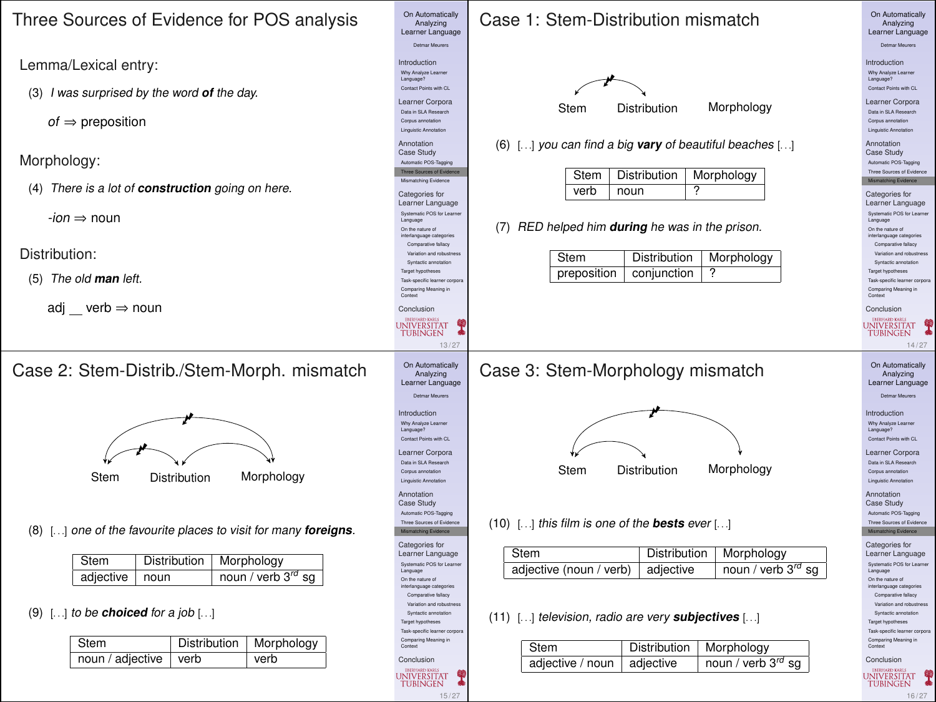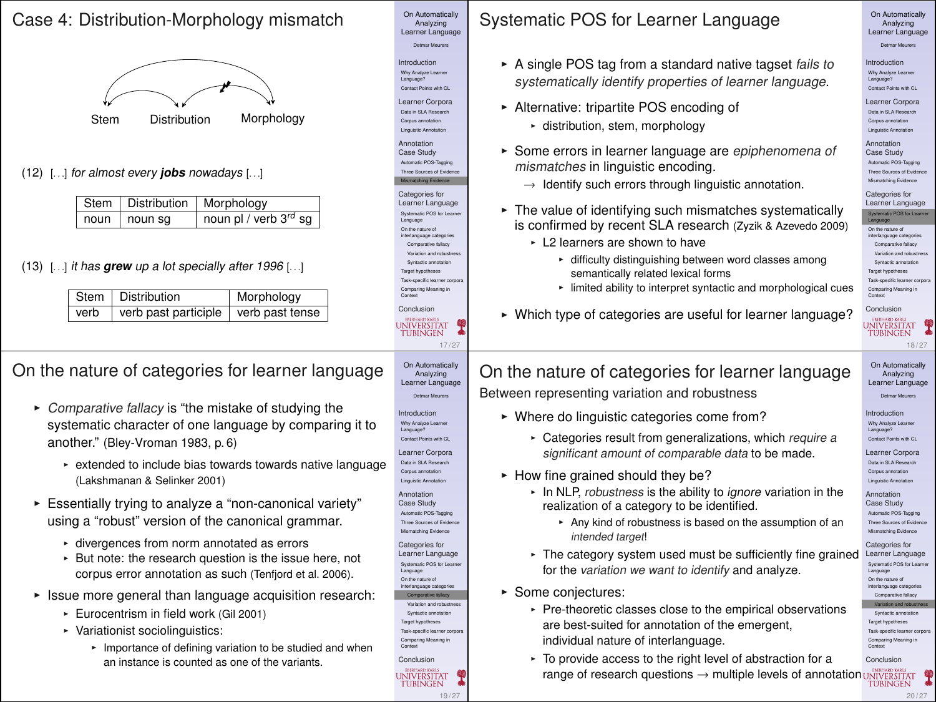#### Case 4: Distribution-Morphology mismatch



(12) [. . .] for almost every **jobs** nowadays [. . .]

|                | Stem   Distribution   Morphology |
|----------------|----------------------------------|
| noun   noun sq | noun pl / verb 3rd sg            |

(13) [. . .] it has **grew** up a lot specially after 1996 [. . .]

| Stem   Distribution                       | Morphology |
|-------------------------------------------|------------|
| verb verb past participle verb past tense |            |

### On the nature of categories for learner language

- $\triangleright$  Comparative fallacy is "the mistake of studying the systematic character of one language by comparing it to another." (Bley-Vroman 1983, p. 6)
	- extended to include bias towards towards native language (Lakshmanan & Selinker 2001)
- Essentially trying to analyze a "non-canonical variety" using a "robust" version of the canonical grammar.
	- divergences from norm annotated as errors
	- **But note: the research question is the issue here, not** corpus error annotation as such (Tenfjord et al. 2006).
- $\triangleright$  Issue more general than language acquisition research:
	- **Furocentrism in field work (Gil 2001)**
	- $\triangleright$  Variationist sociolinguistics:
		- **F** Importance of defining variation to be studied and when an instance is counted as one of the variants.

Systematic POS for Learner Language

On Automatically<br>Analyzing Analyzing Learner Language Detmar Meurers Introduction Why Analyze Learner Language? Contact Points with CL Learner Corpora Data in SLA Research Corpus annotation Linguistic Annotation Annotation Case Study Automatic POS-Tagging Mismatching Evidence Categories for Learner Language Systematic POS for Learner Language On the nature of interlanguage categories Comparative fallacy Syntactic annotation Target hypotheses<br>Task-specific learner comp Task-specific learner corpora Comparing Meaning in Context Conclusion

17/27

19 / 27

**INIVERSITAT TUBINGEN** 

On Automatically Analyzing Learner Language Detmar Meurers Introduction Why Analyze Learner Language? Contact Points with CL Learner Corpora Data in SLA Research Corpus annotation Linguistic Annotation Annotation Case Study Automatic POS-Tagging Three Sources of Evide Mismatching Evidence Categories for Learner Language Systematic POS for Learner Language On the nature of interlanguage categorie Comparative fallacy Variation and robustness Syntactic annotation Target hypotheses Task-specific learner corpora Comparing Meaning in Context **Conclusion** 

**UNIVERSITAT** 

- $\triangleright$  A single POS tag from a standard native tagset fails to systematically identify properties of learner language.
- **Alternative: tripartite POS encoding of** 
	- \* distribution, stem, morphology
- **F** Some errors in learner language are epiphenomena of mismatches in linguistic encoding.
	- $\rightarrow$  Identify such errors through linguistic annotation.
- $\triangleright$  The value of identifying such mismatches systematically is confirmed by recent SLA research (Zyzik & Azevedo 2009)
	- $\cdot$  L2 learners are shown to have
		- \* difficulty distinguishing between word classes among semantically related lexical forms
		- $\cdot$  limited ability to interpret syntactic and morphological cues
- ► Which type of categories are useful for learner language?

On Automatically<br>Analyzing Analyzing Learner Language

- Introduction Why Analyze Learner Language? Contact Points with CL
- Learner Corpora Data in SLA Research Corpus annotation Linguistic Annotation

Annotation Case Study Automatic POS-Tagging Three Sources of Evidence Mismatching Evidence

Categories for Learner Language Systematic POS for Learner Co. the cature of On the nature of interlanguage categories Comparative fallacy Variation and robustness Syntactic annotation Target hypotheses

Task-specific learner corpora Comparing Meaning in Context<sub>1</sub>

Conclusion **TUBINGEN** 

#### 18 / 27 On Automatically Analyzing Learner Language

Detmar Meurers

Introduction Why Analyze Learner Language? Contact Points with CL

Learner Corpora Data in SLA Research

- Corpus annotation Linguistic Annotation
- Annotation
- Case Study Automatic POS-Tagging
- Three Sources of Evidence Mismatching Evidence
- Categories for Learner Language
- Systematic POS for Language On the nature of interlanguage categories Comparative fallacy

Syntactic annotatic Target hypotheses

Task-specific learner corpora Comparing Meaning in Context

20 / 27

Conclusion ç

 $\triangleright$  Where do linguistic categories come from? • Categories result from generalizations, which require a

- significant amount of comparable data to be made.
- $\blacktriangleright$  How fine grained should they be?
	- In NLP, robustness is the ability to ignore variation in the realization of a category to be identified.
		- \* Any kind of robustness is based on the assumption of an intended target!
	- The category system used must be sufficiently fine grained for the variation we want to identify and analyze.
- ► Some conjectures:
	- $\cdot$  Pre-theoretic classes close to the empirical observations are best-suited for annotation of the emergent. individual nature of interlanguage.
	- To provide access to the right level of abstraction for a range of research questions  $\rightarrow$  multiple levels of annotation UNIVERSITAT

# On the nature of categories for learner language Between representing variation and robustness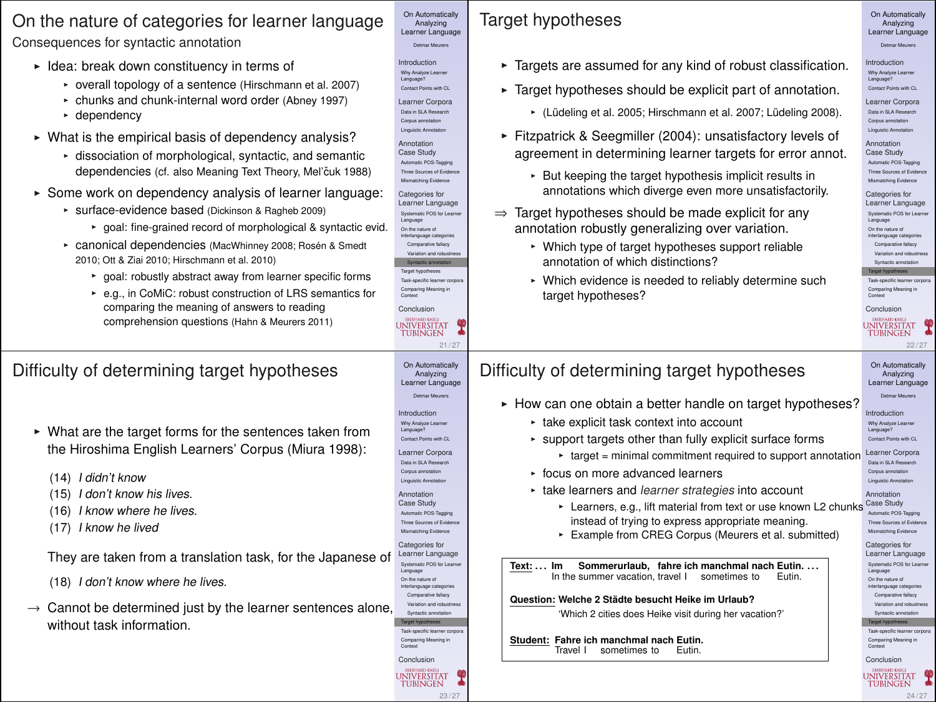#### On the nature of categories for learner language Consequences for syntactic annotation

- $\blacktriangleright$  Idea: break down constituency in terms of
	- overall topology of a sentence (Hirschmann et al. 2007)
	- chunks and chunk-internal word order (Abney 1997)
	- $\cdot$  dependency
- $\triangleright$  What is the empirical basis of dependency analysis?
	- dissociation of morphological, syntactic, and semantic dependencies (cf. also Meaning Text Theory, Mel'čuk 1988)
- $\triangleright$  Some work on dependency analysis of learner language:
	- \* surface-evidence based (Dickinson & Ragheb 2009)
		- ► goal: fine-grained record of morphological & syntactic evid.
	- \* canonical dependencies (MacWhinney 2008; Rosén & Smedt 2010; Ott & Ziai 2010; Hirschmann et al. 2010)
		- goal: robustly abstract away from learner specific forms
		- ► e.g., in CoMiC: robust construction of LRS semantics for comparing the meaning of answers to reading comprehension questions (Hahn & Meurers 2011)

#### Difficulty of determining target hypotheses

- $\triangleright$  What are the target forms for the sentences taken from the Hiroshima English Learners' Corpus (Miura 1998):
	- (14) I didn't know
	- (15) I don't know his lives.
	- (16) I know where he lives.
	- (17) I know he lived

They are taken from a translation task, for the Japanese of

- (18) I don't know where he lives.
- $\rightarrow$  Cannot be determined just by the learner sentences alone, without task information.

# Target hypotheses

On Automatically<br>Analyzing Analyzing Learner Language Detmar Meurers Introduction Why Analyze Learner Language? Contact Points with CL Learner Corpora Data in SLA Research Corpus annotation Linguistic Annotation Annotation<br>Case Study Case Study Automatic POS-Tagging Three Sources of Evidence Mismatching Evidence Categories for Learner Language Systematic POS for Learner Language On the nature of interlanguage categories Comparative fallacy Variation and robustness Syntactic annotation Target hypotheses Task-specific learner corpora Comparing Meaning in Context Conclusion

 $21 / 27$ 

23 / 27

UNIVERSITAT

**TUBINGEN** 

On Automatically Analyzing Learner Language Detmar Meurers Introduction Why Analyze Learner Language? Contact Points with CL Learner Corpora Data in SLA Research Corpus annotation Linguistic Annotation Annotation Case Study Automatic POS-Tagging Three Sources of Eviden Mismatching Evidence Categories for Learner Language Systematic POS for Learner Language On the nature of interlanguage categories Comparative fallacy Variation and robustness Target hypotheses Task-specific learner corpora Comparing Meaning in Context Conclusion

UNIVERSITAT

**THRINGEN** 

- $\blacktriangleright$  Targets are assumed for any kind of robust classification.
- $\blacktriangleright$  Target hypotheses should be explicit part of annotation.
	- (Lüdeling et al. 2005; Hirschmann et al. 2007; Lüdeling 2008).
- Fitzpatrick & Seegmiller (2004): unsatisfactory levels of agreement in determining learner targets for error annot.
	- **But keeping the target hypothesis implicit results in** annotations which diverge even more unsatisfactorily.
- ⇒ Target hypotheses should be made explicit for any annotation robustly generalizing over variation.
	- Which type of target hypotheses support reliable annotation of which distinctions?
	- Which evidence is needed to reliably determine such target hypotheses?

**THRINGEN** 22 / 27 On Automatically Analyzing Learner Language

**UNIVERSITAT** 

On Automatically<br>Analyzing Analyzing Learner Language Detmar Meurers Introduction Why Analyze Learner Language? Contact Points with CL Learner Corpora Data in SLA Research Corpus annotation Linguistic Annotation Annotation Case Study Automatic POS-Tagging Three Sources of Evidence Mismatching Evidence Categories for Learner Language Systematic POS for Learner Language On the nature of interlanguage categories Comparative fallacy Variation and robustness Syntactic annotation Target hypotheses Task-specific learner corpora Comparing Meaning in Context<sub>1</sub> Conclusion

► How can one obtain a better handle on target hypotheses?

 $\cdot$  take explicit task context into account

Difficulty of determining target hypotheses

- $\cdot$  support targets other than fully explicit surface forms
	- $*$  target = minimal commitment required to support annotation
- focus on more advanced learners
- take learners and learner strategies into account
	- \* Learners, e.g., lift material from text or use known L2 chunks instead of trying to express appropriate meaning.
	- **Example from CREG Corpus (Meurers et al. submitted)**

**Text: . . . Im** In the summer vacation, travel I sometimes to Eutin. **Sommerurlaub, fahre ich manchmal nach Eutin. . . .**

**Question: Welche 2 Stadte besucht Heike im Urlaub? ¨**

'Which 2 cities does Heike visit during her vacation?'

**Student: Fahre ich manchmal nach Eutin.** Travel I sometimes to Eutin.

Detmar Meurers Introduction Why Analyze Learner Language? Contact Points with CL Learner Corpora Data in SLA Research Corpus annotation Linguistic Annotation Annotation Case Study Automatic POS-Tagging Three Sources of Evidence Mismatching Evidence Categories for Learner Language Systematic POS for Learn Language On the nature of interlanguage categories Comparative fallacy Variation and robustness Target hypotheses Task-specific learner corpora Comparing Meaning in Context Conclusion

24 / 27

UNIVERSITAT

**TUBINGEN** 

ç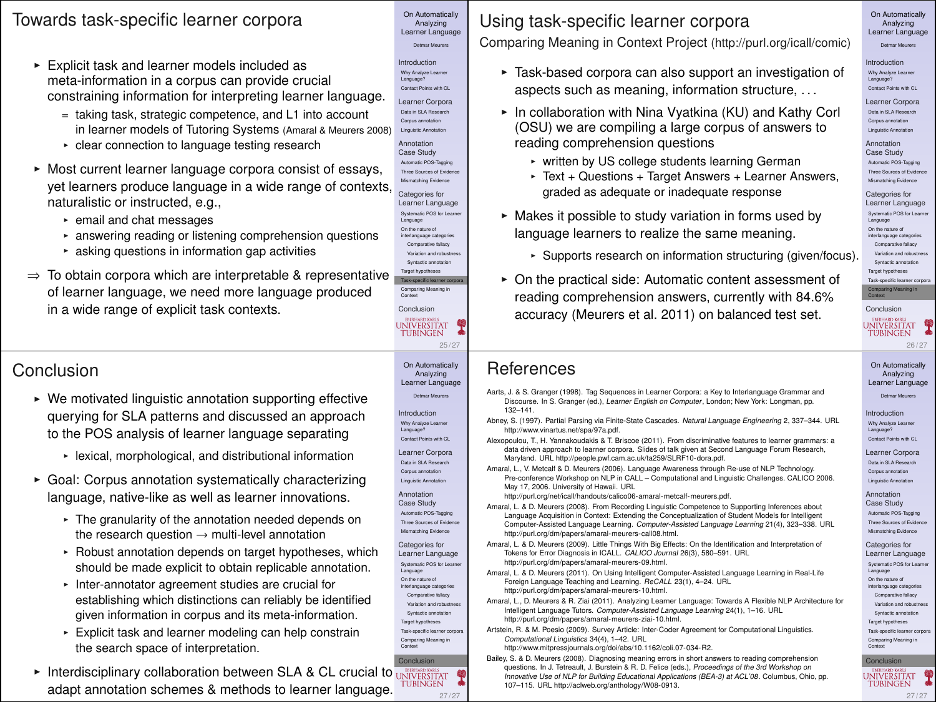#### Towards task-specific learner corpora

- $\triangleright$  Explicit task and learner models included as meta-information in a corpus can provide crucial constraining information for interpreting learner language.
	- = taking task, strategic competence, and L1 into account in learner models of Tutoring Systems (Amaral & Meurers 2008)
	- <sup>I</sup> clear connection to language testing research
- $\triangleright$  Most current learner language corpora consist of essays, yet learners produce language in a wide range of contexts, naturalistic or instructed, e.g.,
	- $\cdot$  email and chat messages
	- **EX answering reading or listening comprehension questions**
	- $\cdot$  asking questions in information gap activities
- $\Rightarrow$  To obtain corpora which are interpretable & representative of learner language, we need more language produced in a wide range of explicit task contexts.

## Conclusion

- $\triangleright$  We motivated linguistic annotation supporting effective querying for SLA patterns and discussed an approach to the POS analysis of learner language separating
	- lexical, morphological, and distributional information
- **EXEC** Goal: Corpus annotation systematically characterizing language, native-like as well as learner innovations.
	- The granularity of the annotation needed depends on the research question  $\rightarrow$  multi-level annotation
	- **Robust annotation depends on target hypotheses, which** should be made explicit to obtain replicable annotation.
	- Inter-annotator agreement studies are crucial for establishing which distinctions can reliably be identified given information in corpus and its meta-information.
	- $\cdot$  Explicit task and learner modeling can help constrain the search space of interpretation.
- **Conclusion**  $\triangleright$  Interdisciplinary collaboration between SLA & CL crucial to  $\frac{1}{\text{INIVERSTAT}}$ adapt annotation schemes & methods to learner language.



Analyzing Learner Language Comparing Meaning in Context Project (http://purl.org/icall/comic)

- $\triangleright$  Task-based corpora can also support an investigation of aspects such as meaning, information structure, . . .
- $\triangleright$  In collaboration with Nina Vyatkina (KU) and Kathy Corl (OSU) we are compiling a large corpus of answers to reading comprehension questions
	- written by US college students learning German
	- ► Text + Questions + Target Answers + Learner Answers, graded as adequate or inadequate response
- $\triangleright$  Makes it possible to study variation in forms used by language learners to realize the same meaning.
	- $\cdot$  Supports research on information structuring (given/focus).
- $\triangleright$  On the practical side: Automatic content assessment of reading comprehension answers, currently with 84.6% accuracy (Meurers et al. 2011) on balanced test set.

### On Automatically<br>Analyzing Detmar Meurers Introduction<br>Why Analyze Learne

Why Analyze Learner Language? Contact Points with CL Learner Corpora Data in SLA Research

Corpus annotation Linguistic Annotation

Annotation Case Study Automatic POS-Tagging Three Sources of Evidence Mismatching Evidence

Categories for Learner Language Systematic POS for Learner Language On the nature of interlanguage categories

Comparative fallacy Variation and robustness

Syntactic annotation

Target hypotheses Comparing Meaning in

Conclusion **UNIVERSITAT TUBINGEN** 

#### References

On Automatically<br>Analyzing Analyzing Learner Language Detmar Meurers Introduction Why Analyze Learner Language? Contact Points with CL Learner Corpora Data in SLA Research Corpus annotation Linguistic Annotation Annotation Case Study Automatic POS-Tagging Three Sources of Evidence Mismatching Evidence Categories for Learner Language Systematic POS for Learner Language On the nature of interlanguage categories Comparative fallacy Variation and robustness Syntactic annotation Target hypotheses Task-specific learner corpora Comparing Meaning in Context Conclusion

25 / 2

On Automatically Analyzing Learner Language Detmar Meurers Introduction Why Analyze Learner Language? Contact Points with CL Learner Corpora Data in SLA Research Corpus annotation Linguistic Annotation Annotation Case Study Automatic POS-Tagging Three Sources of Evidence Mismatching Evidence Categories for Learner Language Systematic POS for Learner Language On the nature of interlanguage categories Comparative fallacy Variation and robustness Syntactic annotation Target hypotheses Task-specific learner corpora Comparing Meaning in Context

UNIVERSITAT

**THRINGEN** 

- Aarts, J. & S. Granger (1998). Tag Sequences in Learner Corpora: a Key to Interlanguage Grammar and Discourse. In S. Granger (ed.), *Learner English on Computer*, London; New York: Longman, pp.<br>100-141
- 132–141. Abney, S. (1997). Partial Parsing via Finite-State Cascades. Natural Language Engineering 2, 337–344. URL http://www.vinartus.net/spa/97a.pdf.
- Alexopoulou, T., H. Yannakoudakis & T. Briscoe (2011). From discriminative features to learner grammars: a data driven approach to learner corpora. Slides of talk given at Second Language Forum Research, Maryland. URL http://people.pwf.cam.ac.uk/ta259/SLRF10-dora.pdf.
- Amaral, L., V. Metcalf & D. Meurers (2006). Language Awareness through Re-use of NLP Technology. Pre-conference Workshop on NLP in CALL – Computational and Linguistic Challenges. CALICO 2006. May 17, 2006. University of Hawaii. URL
- http://purl.org/net/icall/handouts/calico06-amaral-metcalf-meurers.pdf. Amaral, L. & D. Meurers (2008). From Recording Linguistic Competence to Supporting Inferences about Language Acquisition in Context: Extending the Conceptualization of Student Models for Intelligent Computer-Assisted Language Learning. Computer-Assisted Language Learning 21(4), 323–338. URL http://purl.org/dm/papers/amaral-meurers-call08.html.
- Amaral, L. & D. Meurers (2009). Little Things With Big Effects: On the Identification and Interpretation of Tokens for Error Diagnosis in ICALL. CALICO Journal 26(3), 580–591. URL http://purl.org/dm/papers/amaral-meurers-09.html.
- Amaral, L. & D. Meurers (2011). On Using Intelligent Computer-Assisted Language Learning in Real-Life Foreign Language Teaching and Learning. ReCALL 23(1), 4–24. URL http://purl.org/dm/papers/amaral-meurers-10.html.
- Amaral, L., D. Meurers & R. Ziai (2011). Analyzing Learner Language: Towards A Flexible NLP Architecture for Intelligent Language Tutors. Computer-Assisted Language Learning 24(1), 1–16. URL http://purl.org/dm/papers/amaral-meurers-ziai-10.html.
- Artstein, R. & M. Poesio (2009). Survey Article: Inter-Coder Agreement for Computational Linguistics. Computational Linguistics 34(4), 1–42. URL http://www.mitpressjournals.org/doi/abs/10.1162/coli.07-034-R2.
- Bailey, S. & D. Meurers (2008). Diagnosing meaning errors in short answers to reading comprehension questions. In J. Tetreault, J. Burstein & R. D. Felice (eds.), Proceedings of the 3rd Workshop on Innovative Use of NLP for Building Educational Applications (BEA-3) at ACL'08. Columbus, Ohio, pp. 107–115. URL http://aclweb.org/anthology/W08-0913.

26 / 27 On Automatically Analyzing Learner Language

Detmar Meurers

Introduction Why Analyze Learner Language? Contact Points with CL

Learner Corpora

Data in SLA Research Corpus annotation

Linguistic Annotation Annotation

Case Study Automatic POS-Tagging Three Sources of Evidence Mismatching Evidence

Categories for Learner Language

Systematic POS for Learn Language

On the nature of interlanguage categories Comparative fallacy

Variation and robustness Syntactic annotation

Target hypotheses

Task-specific learner corpora

Comparing Meaning in Context **Conclusion** UNIVERSITAT ç **TUBINGEN** 

27 / 27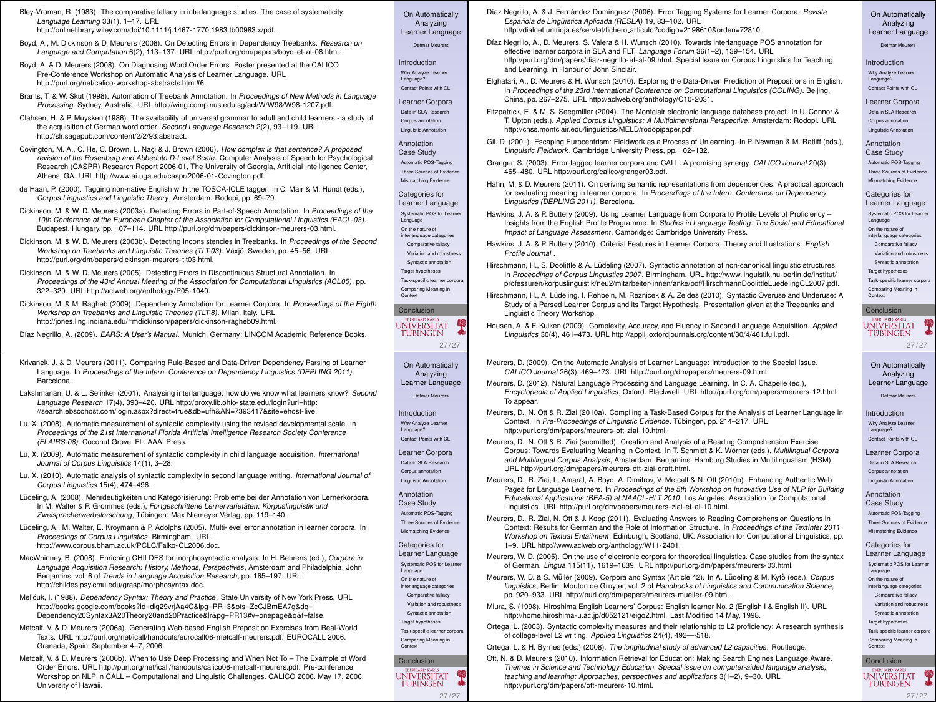| Bley-Vroman, R. (1983). The comparative fallacy in interlanguage studies: The case of systematicity.<br>Language Learning 33(1), 1-17, URL<br>http://onlinelibrary.wiley.com/doi/10.1111/i.1467-1770.1983.tb00983.v/pdf. | On Automatically<br>Analyzing<br>Learner Language     | Díaz Negrillo, A. & J. Fernández Domínguez (2006). Error Tagging Systems for Learner Corpora. Revista<br>Española de Lingüística Aplicada (RESLA) 19, 83-102. URL<br>http://dialnet.unirioia.es/servlet/fichero.articulo?codigo=2198610&orden=72810. | On Automatically<br>Analyzing<br>Learner Language          |
|--------------------------------------------------------------------------------------------------------------------------------------------------------------------------------------------------------------------------|-------------------------------------------------------|------------------------------------------------------------------------------------------------------------------------------------------------------------------------------------------------------------------------------------------------------|------------------------------------------------------------|
| Boyd, A., M. Dickinson & D. Meurers (2008). On Detecting Errors in Dependency Treebanks. Research on<br>Language and Computation 6(2), 113-137. URL http://purl.org/dm/papers/boyd-et-al-08.html.                        | <b>Customer Managers</b>                              | Díaz Negrillo, A., D. Meurers, S. Valera & H. Wunsch (2010). Towards interlanguage POS annotation for<br>effective learner corpora in SLA and FLT. Language Forum 36(1-2), 139-154. URL                                                              | Datmar Mexico                                              |
| Boyd, A. & D. Meurers (2008). On Diagnosing Word Order Errors. Poster presented at the CALICO<br>Pre-Conference Workshop on Automatic Analysis of Learner Language. URL                                                  | Introduction<br>Why Analyze Learner                   | http://purl.org/dm/papers/diaz-negrillo-et-al-09.html. Special Issue on Corpus Linguistics for Teaching<br>and Learning. In Honour of John Sinclair.                                                                                                 | Introduction<br>Why Analyze Learner                        |
| http://purl.org/net/calico-workshop-abstracts.html#6.                                                                                                                                                                    | Language?<br>Contact Points with CL                   | Elghafari, A., D. Meurers & H. Wunsch (2010). Exploring the Data-Driven Prediction of Prepositions in English.                                                                                                                                       | Language?<br>Contact Points with CL                        |
| Brants, T. & W. Skut (1998). Automation of Treebank Annotation. In Proceedings of New Methods in Language<br>Processing. Sydney, Australia. URL http://wing.comp.nus.edu.sg/acl/W/W98/W98-1207.pdf.                      | Learner Corpora                                       | In Proceedings of the 23rd International Conference on Computational Linguistics (COLING). Beijing,<br>China, pp. 267-275. URL http://aclweb.org/anthology/C10-2031.                                                                                 | Learner Corpora                                            |
| Clahsen, H. & P. Muysken (1986). The availability of universal grammar to adult and child learners - a study of                                                                                                          | Data in SLA Research<br>Corpus annotation             | Fitzpatrick, E. & M. S. Seegmiller (2004). The Montclair electronic language database project. In U. Connor &                                                                                                                                        | Data in SLA Research<br>Corpus annotation                  |
| the acquisition of German word order. Second Language Research 2(2), 93-119. URL<br>http://sir.sagepub.com/content/2/2/93.abstract.                                                                                      | Linguistic Annotation                                 | T. Upton (eds.), Applied Corpus Linguistics: A Multidimensional Perspective, Amsterdam: Rodopi. URL<br>http://chss.montclair.edu/linguistics/MELD/rodopipaper.pdf.                                                                                   | Linguistic Annotation                                      |
| Covington, M. A., C. He, C. Brown, L. Naci & J. Brown (2006). How complex is that sentence? A proposed                                                                                                                   | Annotation                                            | Gil. D. (2001). Escaping Eurocentrism: Fieldwork as a Process of Unlearning, In P. Newman & M. Ratiff (eds.).                                                                                                                                        | Annotation                                                 |
| revision of the Rosenberg and Abbeduto D-Level Scale. Computer Analysis of Speech for Psychological                                                                                                                      | Case Study<br>Automatic POS-Teppino                   | Linguistic Fieldwork, Cambridge University Press, pp. 102-132.<br>Granger, S. (2003). Error-tagged learner corpora and CALL: A promising synergy. CALICO Journal 20(3),                                                                              | Case Study<br>Automatic POS-Tegoing                        |
| Research (CASPR) Research Report 2006-01, The University of Georgia, Artificial Intelligence Center,<br>Athens, GA. URL http://www.ai.uga.edu/caspr/2006-01-Covington.pdf.                                               | Three Sources of Evidence                             | 465-480. URL http://purl.org/calico/granger03.pdf.                                                                                                                                                                                                   | Three Sources of Evidence                                  |
| de Haan, P. (2000). Tagging non-native English with the TOSCA-ICLE tagger. In C. Mair & M. Hundt (eds.),                                                                                                                 | Mamatching Evidence                                   | Hahn, M. & D. Meurers (2011). On deriving semantic representations from dependencies: A practical approach<br>for evaluating meaning in learner corpora. In Proceedings of the Intern. Conference on Dependency                                      | Manasching Evidence                                        |
| Corpus Linguistics and Linguistic Theory, Amsterdam: Rodopi, pp. 69-79.                                                                                                                                                  | Categories for<br>Learner Language                    | Linguistics (DEPLING 2011). Barcelona.                                                                                                                                                                                                               | Categories for<br>Learner Language                         |
| Dickinson, M. & W. D. Meurers (2003a). Detecting Errors in Part-of-Speech Annotation. In Proceedings of the<br>10th Conference of the European Chapter of the Association for Computational Linguistics (EACL-03).       | Systematic POS for Learner<br>Language                | Hawkins, J. A. & P. Buttery (2009). Using Learner Language from Corpora to Profile Levels of Proficiency -                                                                                                                                           | Systematic POS for Learner<br>Language                     |
| Budapest, Hungary, pp. 107-114. URL http://purl.org/dm/papers/dickinson-meurers-03.html.                                                                                                                                 | On the nature of<br>interlancuage categories          | Insights from the English Profile Programme. In Studies in Language Testing: The Social and Educational<br>Impact of Language Assessment, Cambridge: Cambridge University Press.                                                                     | On the nature of<br>interlanguage categories               |
| Dickinson, M. & W. D. Meurers (2003b). Detecting Inconsistencies in Treebanks. In Proceedings of the Second<br>Workshop on Treebanks and Linguistic Theories (TLT-03). Växjö, Sweden, pp. 45-56. URL                     | Comparative fallony                                   | Hawkins, J. A. & P. Buttery (2010). Criterial Features in Learner Corpora: Theory and Illustrations. English                                                                                                                                         | Comparative fallows                                        |
| http://purl.org/dm/papers/dickinson-meurers-tlt03.html.                                                                                                                                                                  | Variation and rebustness<br>Syntactic annotation      | Profile Journal .                                                                                                                                                                                                                                    | Variation and robustness<br>Syntactic amotation            |
| Dickinson, M. & W. D. Meurers (2005). Detecting Errors in Discontinuous Structural Annotation. In                                                                                                                        | Target hypotheses                                     | Hirschmann, H., S. Doolittle & A. Lüdeling (2007). Syntactic annotation of non-canonical linguistic structures.<br>In Proceedings of Corpus Linguistics 2007. Birmingham. URL http://www.linguistik.hu-berlin.de/institut/                           | <b>Target hypothesist</b>                                  |
| Proceedings of the 43rd Annual Meeting of the Association for Computational Linguistics (ACL'05). pp.<br>322-329. URL http://aclweb.org/anthology/P05-1040.                                                              | Task-specific learner corpora<br>Comparing Meaning in | professuren/korpuslinguistik/neu2/mitarbeiter- innen/anke/pdf/HirschmannDoolittleLuedelingCL2007.pdf.                                                                                                                                                | Task-specific learner corpor.<br>Comparing Meaning in      |
| Dickinson, M. & M. Ragheb (2009). Dependency Annotation for Learner Corpora. In Proceedings of the Eighth                                                                                                                | Contain                                               | Hirschmann, H., A. Lüdeling, I. Rehbein, M. Reznicek & A. Zeldes (2010). Syntactic Overuse and Underuse: A                                                                                                                                           | Context                                                    |
| Workshop on Treebanks and Linguistic Theories (TLT-8). Milan, Italy. URL                                                                                                                                                 | <b>Conclusion</b>                                     | Study of a Parsed Learner Corpus and its Target Hypothesis. Presentation given at the Treebanks and<br>Linguistic Theory Workshop.                                                                                                                   | Conclusion                                                 |
| http://jones.ling.indiana.edu/~mdickinson/papers/dickinson-ragheb09.html.                                                                                                                                                | <b>UNIVERSITAT</b><br><b>TUBINGEN</b>                 | Housen, A. & F. Kulken (2009). Complexity, Accuracy, and Fluency in Second Language Acquisition. Applied                                                                                                                                             | <b>UNIVERSITAT</b><br><b>TUBINGEN</b>                      |
| Díaz Negrillo, A. (2009). EARS: A User's Manual. Munich, Germany: LINCOM Academic Reference Books.                                                                                                                       | 27/27                                                 | Linguistics 30(4), 461-473. URL http://applij.oxfordjournals.org/content/30/4/461.full.pdf.                                                                                                                                                          | 27/27                                                      |
|                                                                                                                                                                                                                          |                                                       |                                                                                                                                                                                                                                                      |                                                            |
|                                                                                                                                                                                                                          |                                                       |                                                                                                                                                                                                                                                      |                                                            |
| Krivanek, J. & D. Meurers (2011). Comparing Rule-Based and Data-Driven Dependency Parsing of Learner<br>Language. In Proceedings of the Intern. Conference on Dependency Linguistics (DEPLING 2011).                     | On Automatically<br>Analyzing                         | Meurers, D. (2009). On the Automatic Analysis of Learner Language: Introduction to the Special Issue.<br>CALICO Journal 26(3), 469-473. URL http://purl.org/dm/papers/meurers-09.html.                                                               | On Automatically<br>Analyzing                              |
| Barcelona.                                                                                                                                                                                                               | Learner Language                                      | Meurers, D. (2012). Natural Language Processing and Language Learning. In C. A. Chapelle (ed.),                                                                                                                                                      | Learner Language                                           |
| Lakshmanan, U. & L. Selinker (2001). Analysing interlanguage: how do we know what learners know? Second<br>Language Research 17(4), 393-420. URL http://proxy.lib.ohio-state.edu/login?url=http:                         | <b>Detmar Meurers</b>                                 | Encyclopedia of Applied Linguistics, Oxford: Blackwell. URL http://purl.org/dm/papers/meurers-12.html.<br>To appear.                                                                                                                                 | Detmar Meuren                                              |
| //search.ebscohost.com/login.aspx?direct=true&db=ufh&AN=7393417&site=ehost-live.                                                                                                                                         | Introduction                                          | Meurers, D., N. Ott & R. Ziai (2010a). Compiling a Task-Based Corpus for the Analysis of Learner Language in                                                                                                                                         | Introduction                                               |
| Lu, X. (2008). Automatic measurement of syntactic complexity using the revised developmental scale. In                                                                                                                   | Why Analyze Learne<br>Language?                       | Context. In Pre-Proceedings of Linguistic Evidence. Túbingen, pp. 214-217. URL<br>http://purl.org/dm/papers/meurers-ott-ziai-10.html.                                                                                                                | Why Analyze Learner<br>Language?                           |
| Proceedings of the 21st International Florida Artificial Intelligence Research Society Conference<br>(FLAIRS-08), Coconut Grove, FL; AAAI Press,                                                                         | Contact Points with CL                                |                                                                                                                                                                                                                                                      | Contact Points with CL                                     |
| Lu, X. (2009). Automatic measurement of syntactic complexity in child language acquisition. International                                                                                                                | Learner Corpora                                       | Meurers, D., N. Ott & R. Ziai (submitted). Creation and Analysis of a Reading Comprehension Exercise<br>Corpus: Towards Evaluating Meaning in Context. In T. Schmidt & K. Wörner (eds.), Multilingual Corpora                                        | Learner Corpora                                            |
| Journal of Corpus Linguistics 14(1), 3-28.                                                                                                                                                                               | Data in SLA Research<br>Cornus secondation            | and Multilingual Corpus Analysis, Amsterdam: Benjamins, Hamburg Studies in Multilingualism (HSM).<br>URL http://purl.org/dm/papers/meurers- ott-ziai-draft.html.                                                                                     | Data in SLA Research                                       |
| Lu, X. (2010). Automatic analysis of syntactic complexity in second language writing. International Journal of<br>Corpus Linguistics 15(4), 474-496.                                                                     | <b>Linquistic Annotation</b>                          | Meurers, D., R. Ziai, L. Amaral, A. Boyd, A. Dimitroy, V. Metcalf & N. Ott (2010b). Enhancing Authentic Web                                                                                                                                          | Corpus annotation<br>Linguistic Annotation                 |
|                                                                                                                                                                                                                          | Annotation                                            | Pages for Language Learners. In Proceedings of the 5th Workshop on Innovative Use of NLP for Building                                                                                                                                                | Annotation                                                 |
| Lüdeling, A. (2008). Mehrdeutigkeiten und Kategorisierung: Probleme bei der Annotation von Lernerkorpora.<br>In M. Walter & P. Grommes (eds.), Fortgeschrittene Lernervarietäten: Korpuslinguistik und                   | Case Study                                            | Educational Applications (BEA-5) at NAACL-HLT 2010. Los Angeles: Association for Computational<br>Linguistics. URL http://purl.org/dm/papers/meurers-ziai-et-al-10.html.                                                                             | Case Study                                                 |
| Zweispracherwerbsforschung, Tübingen: Max Niemeyer Verlag, pp. 119-140.                                                                                                                                                  | Automatic DOG Teacher<br>Three Sources of Evidence    | Meurers, D., R. Ziai, N. Ott & J. Kopp (2011). Evaluating Answers to Reading Comprehension Questions in                                                                                                                                              | Automatic DOG Tenning<br>Three Sources of Evidence         |
| Lüdeling, A., M. Walter, E. Kroymann & P. Adolphs (2005). Multi-level error annotation in learner corpora. In                                                                                                            | Mamatching Evidence                                   | Context: Results for German and the Role of Information Structure. In Proceedings of the TextInfer 2011<br>Workshop on Textual Entailment. Edinburgh, Scotland, UK: Association for Computational Linguistics, pp.                                   | Manasching Evidence                                        |
| Proceedings of Corpus Linguistics. Birmingham. URL<br>http://www.corpus.bham.ac.uk/PCLC/Falko-CL2006.doc.                                                                                                                | Categories for                                        | 1-9. URL http://www.aclweb.org/anthology/W11-2401.                                                                                                                                                                                                   | Categories for                                             |
| MacWhinney, B. (2008). Enriching CHILDES for morphosyntactic analysis. In H. Behrens (ed.), Corpora in                                                                                                                   | Learner Language                                      | Meurers, W. D. (2005). On the use of electronic corpora for theoretical linguistics. Case studies from the syntax                                                                                                                                    | Learner Language                                           |
| Language Acquisition Research: History, Methods, Perspectives, Amsterdam and Philadelphia: John                                                                                                                          | Systematic POS for Learner<br>Language                | of German. Lingua 115(11), 1619-1639. URL http://purl.org/dm/papers/meurers-03.html.                                                                                                                                                                 | Systematic POS for Learner<br>Language                     |
| Benjamins, vol. 6 of Trends in Language Acquisition Research, pp. 165-197. URL<br>http://childes.psy.cmu.edu/grasp/morphosyntax.doc.                                                                                     | On the nature of<br>interlanguage categories          | Meurers, W. D. & S. Müller (2009). Corpora and Syntax (Article 42). In A. Lüdeling & M. Kyto (eds.), Corpus<br>linguistics, Berlin: Mouton de Gruyter, vol. 2 of Handbooks of Linguistics and Communication Science,                                 | On the nature of<br>interlanguage categorie                |
| Mel'čuk, I. (1988). Dependency Syntax: Theory and Practice. State University of New York Press. URL                                                                                                                      | Comparative fallacy<br>Variation and rebustness       | pp. 920-933. URL http://purl.org/dm/papers/meurers-mueller-09.html.                                                                                                                                                                                  | Comparative fallacy<br>Variation and robustness            |
| http://books.google.com/books?id=diq29vrjAa4C&lpg=PR13&ots=ZcCJBmEA7g&dq=<br>Dependency20Syntax3A20Theory20and20Practice&Ir&pg=PR13#v=onepage&q&f=false.                                                                 | Suntantin amendment                                   | Miura, S. (1998). Hiroshima English Learners' Corpus: English learner No. 2 (English I & English II). URL<br>http://home.hiroshima-u.ac.jp/d052121/eigo2.html. Last Modified 14 May, 1998.                                                           | Systemic annotation                                        |
| Metcalf, V. & D. Meurers (2006a). Generating Web-based English Preposition Exercises from Real-World                                                                                                                     | Target hypotheses<br>Task-specific learner corpora    | Ortega, L. (2003). Syntactic complexity measures and their relationship to L2 proficiency: A research synthesis                                                                                                                                      | <b>Target hypothesist</b><br>Task-specific learner corpora |
| Texts. URL http://purl.org/net/ical/handouts/eurocal/06-metcalf-meurers.pdf. EUROCALL 2006.                                                                                                                              | Comparing Meaning in                                  | of college-level L2 writing. Applied Linguistics 24(4), 492-518.                                                                                                                                                                                     | Comparing Meaning in                                       |
| Granada, Spain, September 4-7, 2006.                                                                                                                                                                                     |                                                       | Ortega, L. & H. Byrnes (eds.) (2008). The longitudinal study of advanced L2 capacities. Routledge.                                                                                                                                                   | Context                                                    |
| Metcalf, V. & D. Meurers (2006b). When to Use Deep Processing and When Not To - The Example of Word<br>Order Errors. URL http://purl.org/net/icall/handouts/calico06-metcalf-meurers.pdf. Pre-conference                 | Conclusion                                            | Ott, N. & D. Meurers (2010). Information Retrieval for Education: Making Search Engines Language Aware.<br>Themes in Science and Technology Education. Special issue on computer-aided language analysis,                                            | Conclusion                                                 |
| Workshop on NLP in CALL - Computational and Linguistic Challenges. CALICO 2006. May 17, 2006.<br>University of Hawaii.                                                                                                   | <b>UNIVERSITAT</b><br><b>TUBINGEN</b>                 | teaching and learning: Approaches, perspectives and applications 3(1-2), 9-30. URL<br>http://purl.org/dm/papers/ott-meurers-10.html.                                                                                                                 | <b>UNIVERSITAT</b><br><b>TUBINGEN</b>                      |